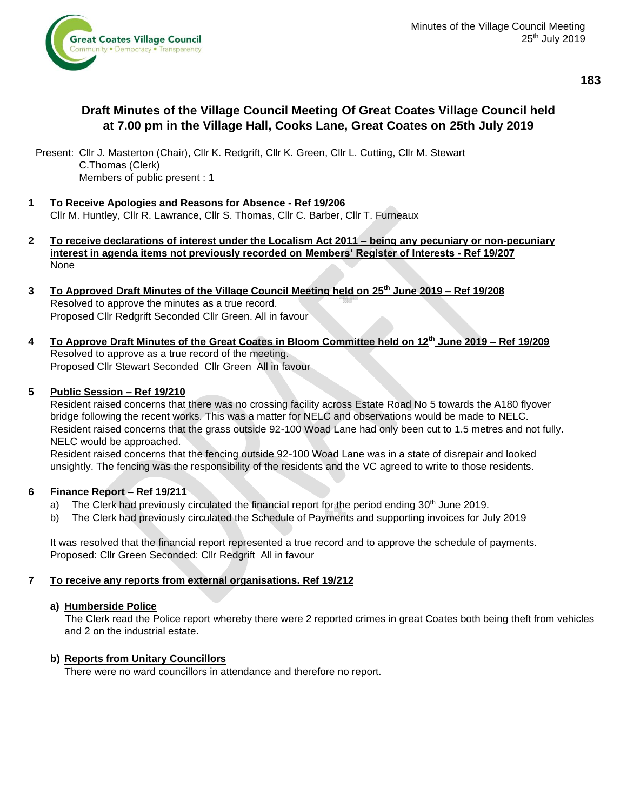

# **Draft Minutes of the Village Council Meeting Of Great Coates Village Council held at 7.00 pm in the Village Hall, Cooks Lane, Great Coates on 25th July 2019**

Present: Cllr J. Masterton (Chair), Cllr K. Redgrift, Cllr K. Green, Cllr L. Cutting, Cllr M. Stewart C.Thomas (Clerk) Members of public present : 1

- **1 To Receive Apologies and Reasons for Absence - Ref 19/206** Cllr M. Huntley, Cllr R. Lawrance, Cllr S. Thomas, Cllr C. Barber, Cllr T. Furneaux
- **2 To receive declarations of interest under the Localism Act 2011 – being any pecuniary or non-pecuniary interest in agenda items not previously recorded on Members' Register of Interests - Ref 19/207** None
- **3 To Approved Draft Minutes of the Village Council Meeting held on 25th June 2019 – Ref 19/208** Resolved to approve the minutes as a true record. Proposed Cllr Redgrift Seconded Cllr Green. All in favour
- **4 To Approve Draft Minutes of the Great Coates in Bloom Committee held on 12 th June 2019 – Ref 19/209** Resolved to approve as a true record of the meeting. Proposed Cllr Stewart Seconded Cllr Green All in favour

## **5 Public Session – Ref 19/210**

Resident raised concerns that there was no crossing facility across Estate Road No 5 towards the A180 flyover bridge following the recent works. This was a matter for NELC and observations would be made to NELC. Resident raised concerns that the grass outside 92-100 Woad Lane had only been cut to 1.5 metres and not fully. NELC would be approached.

Resident raised concerns that the fencing outside 92-100 Woad Lane was in a state of disrepair and looked unsightly. The fencing was the responsibility of the residents and the VC agreed to write to those residents.

## **6 Finance Report – Ref 19/211**

- a) The Clerk had previously circulated the financial report for the period ending 30<sup>th</sup> June 2019.
- b) The Clerk had previously circulated the Schedule of Payments and supporting invoices for July 2019

It was resolved that the financial report represented a true record and to approve the schedule of payments. Proposed: Cllr Green Seconded: Cllr Redgrift All in favour

# **7 To receive any reports from external organisations. Ref 19/212**

## **a) Humberside Police**

 The Clerk read the Police report whereby there were 2 reported crimes in great Coates both being theft from vehicles and 2 on the industrial estate.

# **b) Reports from Unitary Councillors**

There were no ward councillors in attendance and therefore no report.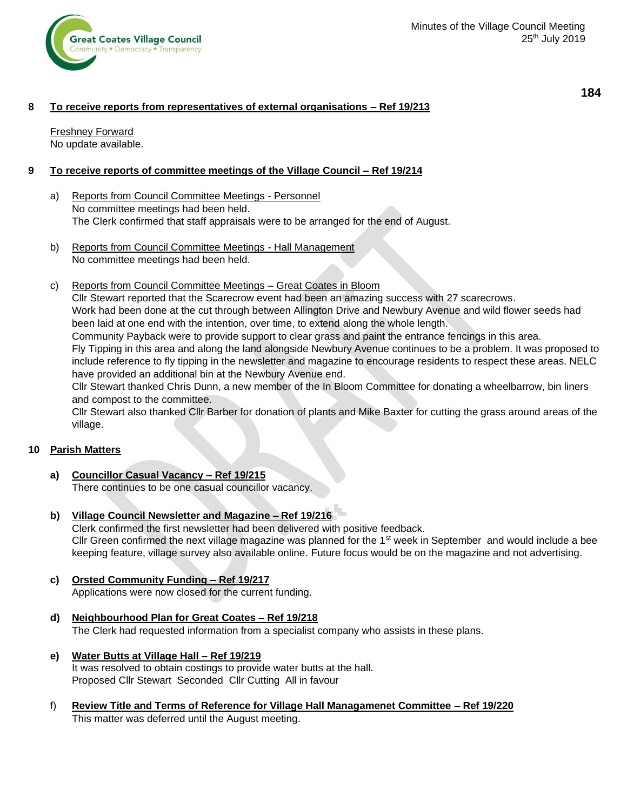

**184**

## **8 To receive reports from representatives of external organisations – Ref 19/213**

Freshney Forward No update available.

## **9 To receive reports of committee meetings of the Village Council – Ref 19/214**

- a) Reports from Council Committee Meetings Personnel No committee meetings had been held. The Clerk confirmed that staff appraisals were to be arranged for the end of August.
- b) Reports from Council Committee Meetings Hall Management No committee meetings had been held.
- c) Reports from Council Committee Meetings Great Coates in Bloom

Cllr Stewart reported that the Scarecrow event had been an amazing success with 27 scarecrows.

Work had been done at the cut through between Allington Drive and Newbury Avenue and wild flower seeds had been laid at one end with the intention, over time, to extend along the whole length.

Community Payback were to provide support to clear grass and paint the entrance fencings in this area.

Fly Tipping in this area and along the land alongside Newbury Avenue continues to be a problem. It was proposed to include reference to fly tipping in the newsletter and magazine to encourage residents to respect these areas. NELC have provided an additional bin at the Newbury Avenue end.

Cllr Stewart thanked Chris Dunn, a new member of the In Bloom Committee for donating a wheelbarrow, bin liners and compost to the committee.

Cllr Stewart also thanked Cllr Barber for donation of plants and Mike Baxter for cutting the grass around areas of the village.

## **10 Parish Matters**

- **a) Councillor Casual Vacancy – Ref 19/215** There continues to be one casual councillor vacancy.
- **b) Village Council Newsletter and Magazine – Ref 19/216**

Clerk confirmed the first newsletter had been delivered with positive feedback. Cllr Green confirmed the next village magazine was planned for the  $1<sup>st</sup>$  week in September and would include a bee keeping feature, village survey also available online. Future focus would be on the magazine and not advertising.

- **c) Orsted Community Funding – Ref 19/217** Applications were now closed for the current funding.
- **d) Neighbourhood Plan for Great Coates – Ref 19/218** The Clerk had requested information from a specialist company who assists in these plans.
- **e) Water Butts at Village Hall – Ref 19/219** It was resolved to obtain costings to provide water butts at the hall. Proposed Cllr Stewart Seconded Cllr Cutting All in favour
- f) **Review Title and Terms of Reference for Village Hall Managamenet Committee – Ref 19/220** This matter was deferred until the August meeting.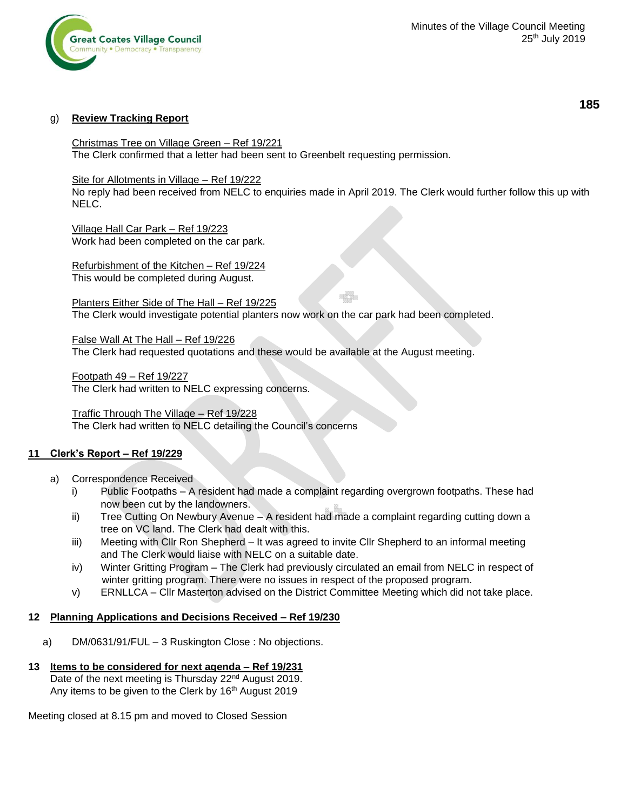

#### g) **Review Tracking Report**

Christmas Tree on Village Green – Ref 19/221 The Clerk confirmed that a letter had been sent to Greenbelt requesting permission.

#### Site for Allotments in Village – Ref 19/222

No reply had been received from NELC to enquiries made in April 2019. The Clerk would further follow this up with NELC.

Village Hall Car Park – Ref 19/223 Work had been completed on the car park.

Refurbishment of the Kitchen – Ref 19/224 This would be completed during August.

Planters Either Side of The Hall – Ref 19/225 The Clerk would investigate potential planters now work on the car park had been completed.

False Wall At The Hall – Ref 19/226 The Clerk had requested quotations and these would be available at the August meeting.

Footpath 49 – Ref 19/227 The Clerk had written to NELC expressing concerns.

Traffic Through The Village – Ref 19/228 The Clerk had written to NELC detailing the Council's concerns

#### **11 Clerk's Report – Ref 19/229**

- a) Correspondence Received
	- i) Public Footpaths A resident had made a complaint regarding overgrown footpaths. These had now been cut by the landowners.
	- ii) Tree Cutting On Newbury Avenue A resident had made a complaint regarding cutting down a tree on VC land. The Clerk had dealt with this.
	- iii) Meeting with Cllr Ron Shepherd It was agreed to invite Cllr Shepherd to an informal meeting and The Clerk would liaise with NELC on a suitable date.
	- iv) Winter Gritting Program The Clerk had previously circulated an email from NELC in respect of winter gritting program. There were no issues in respect of the proposed program.
	- v) ERNLLCA Cllr Masterton advised on the District Committee Meeting which did not take place.

#### **12 Planning Applications and Decisions Received – Ref 19/230**

a) DM/0631/91/FUL – 3 Ruskington Close : No objections.

#### **13 Items to be considered for next agenda – Ref 19/231**

Date of the next meeting is Thursday 22<sup>nd</sup> August 2019. Any items to be given to the Clerk by 16<sup>th</sup> August 2019

Meeting closed at 8.15 pm and moved to Closed Session

**185**